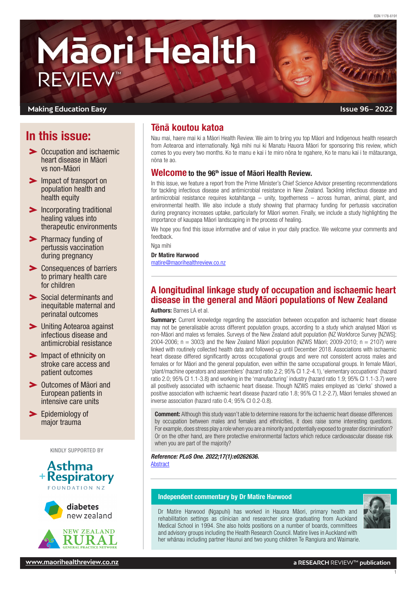# **Māori Health** REVIEW™

### **Making Education Easy**

# In this issue:

- **> Occupation and ischaemic** heart disease in Māori vs non-Māori
- **IMPACT STANDARY IMP** Impact of transport on [population health and](#page-1-0)  [health equity](#page-1-0)
- **Incorporating traditional** [healing values into](#page-1-0)  [therapeutic environments](#page-1-0)
- > Pharmacy funding of [pertussis vaccination](#page-1-0)  [during pregnancy](#page-1-0)
- **EXECONSEQUENCES OF DATTIERS** [to primary health care](#page-2-0)  [for children](#page-2-0)
- Social determinants and [inequitable maternal and](#page-2-0)  [perinatal outcomes](#page-2-0)
- [Uniting Aotearoa against](#page-2-0)  [infectious disease and](#page-2-0)  [antimicrobial resistance](#page-2-0)
- **Impact of ethnicity on** [stroke care access and](#page-3-0)  [patient outcomes](#page-3-0)
- [Outcomes of Māori and](#page-3-0)  [European patients in](#page-3-0)  [intensive care units](#page-3-0)
- [Epidemiology of](#page-3-0)  [major trauma](#page-3-0)

KINDLY SUPPORTED BY







# Tēnā koutou katoa

Nau mai, haere mai ki a Māori Health Review. We aim to bring you top Māori and Indigenous health research from Aotearoa and internationally. Ngā mihi nui ki Manatu Hauora Māori for sponsoring this review, which comes to you every two months. Ko te manu e kai i te miro nōna te ngahere, Ko te manu kai i te mātauranga, nōna te ao.

## Welcome to the 96th issue of Māori Health Review.

In this issue, we feature a report from the Prime Minister's Chief Science Advisor presenting recommendations for tackling infectious disease and antimicrobial resistance in New Zealand. Tackling infectious disease and antimicrobial resistance requires kotahitanga – unity, togetherness – across human, animal, plant, and environmental health. We also include a study showing that pharmacy funding for pertussis vaccination during pregnancy increases uptake, particularly for Māori women. Finally, we include a study highlighting the importance of kaupapa Māori landscaping in the process of healing.

We hope you find this issue informative and of value in your daily practice. We welcome your comments and feedback.

Nga mihi

Dr Matire Harwood [matire@maorihealthreview.co.nz](mailto:matire%40maorihealthreview.co.nz?subject=)

# A longitudinal linkage study of occupation and ischaemic heart disease in the general and Māori populations of New Zealand

Authors: Barnes LA et al.

**Summary:** Current knowledge regarding the association between occupation and ischaemic heart disease may not be generalisable across different population groups, according to a study which analysed Māori vs non-Māori and males vs females. Surveys of the New Zealand adult population (NZ Workforce Survey [NZWS]; 2004-2006;  $n = 3003$ ) and the New Zealand Māori population (NZWS Māori; 2009-2010;  $n = 2107$ ) were linked with routinely collected health data and followed-up until December 2018. Associations with ischaemic heart disease differed significantly across occupational groups and were not consistent across males and females or for Māori and the general population, even within the same occupational groups. In female Māori, 'plant/machine operators and assemblers' (hazard ratio 2.2; 95% CI 1.2-4.1), 'elementary occupations' (hazard ratio 2.0; 95% CI 1.1-3.8) and working in the 'manufacturing' industry (hazard ratio 1.9; 95% CI 1.1-3.7) were all positively associated with ischaemic heart disease. Though NZWS males employed as 'clerks' showed a positive association with ischaemic heart disease (hazard ratio 1.8; 95% CI 1.2-2.7), Māori females showed an inverse association (hazard ratio 0.4; 95% CI 0.2-0.8).

**Comment:** Although this study wasn't able to determine reasons for the ischaemic heart disease differences by occupation between males and females and ethnicities, it does raise some interesting questions. For example, does stress play a role when you are a minority and potentially exposed to greater discrimination? Or on the other hand, are there protective environmental factors which reduce cardiovascular disease risk when you are part of the majority?

*Reference: PLoS One. 2022;17(1):e0262636.*  [Abstract](https://journals.plos.org/plosone/article?id=10.1371/journal.pone.0262636)

#### Independent commentary by Dr Matire Harwood

Dr Matire Harwood (Ngapuhi) has worked in Hauora Māori, primary health and rehabilitation settings as clinician and researcher since graduating from Auckland Medical School in 1994. She also holds positions on a number of boards, committees and advisory groups including the Health Research Council. Matire lives in Auckland with her whānau including partner Haunui and two young children Te Rangiura and Waimarie.

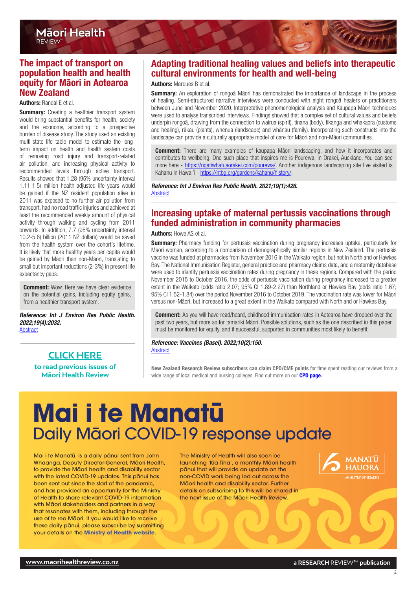# <span id="page-1-0"></span>The impact of transport on population health and health equity for Māori in Aotearoa New Zealand

Authors: Randal E et al.

**Summary:** Creating a healthier transport system would bring substantial benefits for health, society and the economy, according to a prospective burden of disease study. The study used an existing multi-state life table model to estimate the longterm impact on health and health system costs of removing road injury and transport-related air pollution, and increasing physical activity to recommended levels through active transport. Results showed that 1.28 (95% uncertainty interval 1.11-1.5) million health-adjusted life years would be gained if the NZ resident population alive in 2011 was exposed to no further air pollution from transport, had no road traffic injuries and achieved at least the recommended weekly amount of physical activity through walking and cycling from 2011 onwards. In addition, 7.7 (95% uncertainty interval 10.2-5.6) billion (2011 NZ dollars) would be saved from the health system over the cohort's lifetime. It is likely that more healthy years per capita would be gained by Māori than non-Māori, translating to small but important reductions (2-3%) in present life expectancy gaps.

**Comment:** Wow. Here we have clear evidence on the potential gains, including equity gains, from a healthier transport system.

*Reference: Int J Environ Res Public Health. 2022;19(4):2032.* [Abstract](https://www.mdpi.com/1660-4601/19/4/2032)

# **[CLICK HERE](http://www.maorihealthreview.co.nz)**

**to read previous issues of Māori Health Review**

# Adapting traditional healing values and beliefs into therapeutic cultural environments for health and well-being

#### Authors: Marques B et al.

**Summary:** An exploration of rongoā Māori has demonstrated the importance of landscape in the process of healing. Semi-structured narrative interviews were conducted with eight rongoā healers or practitioners between June and November 2020. Interpretative phenomenological analysis and Kaupapa Māori techniques were used to analyse transcribed interviews. Findings showed that a complex set of cultural values and beliefs underpin rongoā, drawing from the connection to wairua (spirit), tinana (body), tikanga and whakaora (customs and healing), rākau (plants), whenua (landscape) and whānau (family). Incorporating such constructs into the landscape can provide a culturally appropriate model of care for Māori and non-Māori communities.

**Comment:** There are many examples of kaupapa Māori landscaping, and how it incorporates and contributes to wellbeing. One such place that inspires me is Pourewa, in Orakei, Auckland. You can see more here - <https://ngatiwhatuaorakei.com/pourewa/>. Another indigenous landscaping site I've visited is Kahanu in Hawai'i - [https://ntbg.org/gardens/kahanu/history/.](https://ntbg.org/gardens/kahanu/history/)

*Reference: Int J Environ Res Public Health. 2021;19(1):426.*  [Abstract](https://www.mdpi.com/1660-4601/19/1/426)

# Increasing uptake of maternal pertussis vaccinations through funded administration in community pharmacies

Authors: Howe AS et al.

**Summary:** Pharmacy funding for pertussis vaccination during pregnancy increases uptake, particularly for Māori women, according to a comparison of demographically similar regions in New Zealand. The pertussis vaccine was funded at pharmacies from November 2016 in the Waikato region, but not in Northland or Hawkes Bay. The National Immunisation Register, general practice and pharmacy claims data, and a maternity database were used to identify pertussis vaccination rates during pregnancy in these regions. Compared with the period November 2015 to October 2016, the odds of pertussis vaccination during pregnancy increased to a greater extent in the Waikato (odds ratio 2.07; 95% CI 1.89-2.27) than Northland or Hawkes Bay (odds ratio 1.67; 95% CI 1.52-1.84) over the period November 2016 to October 2019. The vaccination rate was lower for Māori versus non-Māori, but increased to a great extent in the Waikato compared with Northland or Hawkes Bay.

**Comment:** As you will have read/heard, childhood immunisation rates in Aotearoa have dropped over the past two years, but more so for tamariki Māori. Possible solutions, such as the one described in this paper, must be monitored for equity, and if successful, supported in communities most likely to benefit.

#### *Reference: Vaccines (Basel). 2022;10(2):150.*

[Abstract](https://www.mdpi.com/2076-393X/10/2/150)

New Zealand Research Review subscribers can claim CPD/CME points for time spent reading our reviews from a wide range of local medical and nursing colleges. Find out more on our **[CPD page](http://www.researchreview.co.nz/cpd?site=nz).** 

# **Mai i te Manatū** Daily Māori COVID-19 response update

Mai i te Manatū, is a daily pānui sent from John Whaanga, Deputy Director-General, Māori Health, to provide the Māori health and disability sector with the latest COVID-19 updates. This pānui has been sent out since the start of the pandemic, and has provided an opportunity for the Ministry of Health to share relevant COVID-19 information with Māori stakeholders and partners in a way that resonates with them, including through the use of te reo Māori. If you would like to receive these daily pānui, please subscribe by submitting your details on the **[Ministry of Health website](https://www.health.govt.nz/about-ministry/ministry-health-newsletters/mai-i-te-manatu-maori-covid-19-response-update)**.

The Ministry of Health will also soon be launching 'Kia Tīna', a monthly Māori health pānui that will provide an update on the non-COVID work being led out across the Māori health and disability sector. Further details on subscribing to this will be shared in the next issue of the Māori Health Review.

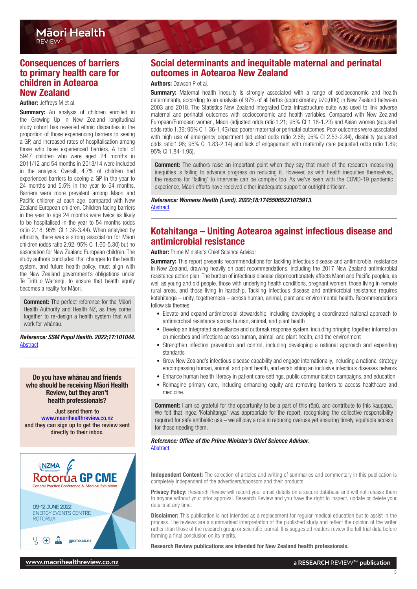# <span id="page-2-0"></span>Consequences of barriers to primary health care for children in Aotearoa New Zealand

#### Author: Jeffreys M et al.

**Summary:** An analysis of children enrolled in the Growing Up in New Zealand longitudinal study cohort has revealed ethnic disparities in the proportion of those experiencing barriers to seeing a GP, and increased rates of hospitalisation among those who have experienced barriers. A total of 5947 children who were aged 24 months in 2011/12 and 54 months in 2013/14 were included in the analysis. Overall, 4.7% of children had experienced barriers to seeing a GP in the year to 24 months and 5.5% in the year to 54 months. Barriers were more prevalent among Māori and Pacific children at each age, compared with New Zealand European children. Children facing barriers in the year to age 24 months were twice as likely to be hospitalised in the year to 54 months (odds ratio 2.18; 95% CI 1.38-3.44). When analysed by ethnicity, there was a strong association for Māori children (odds ratio 2.92; 95% CI 1.60-5.30) but no association for New Zealand European children. The study authors concluded that changes to the health system, and future health policy, must align with the New Zealand government's obligations under Te Tiriti o Waitangi, to ensure that health equity becomes a reality for Māori.

Comment: The perfect reference for the Māori Health Authority and Health NZ, as they come together to re-design a health system that will work for whānau.

*Reference: SSM Popul Health. 2022;17:101044.* [Abstract](https://www.sciencedirect.com/science/article/pii/S2352827322000234?via%3Dihub)

#### Do you have whānau and friends who should be receiving Māori Health Review, but they aren't health professionals?

Just send them to [www.maorihealthreview.co.nz](http://www.maorihealthreview.co.nz) and they can sign up to get the review sent directly to their inbox.



# Social determinants and inequitable maternal and perinatal outcomes in Aotearoa New Zealand

#### Authors: Dawson P et al.

**Summary:** Maternal health inequity is strongly associated with a range of socioeconomic and health determinants, according to an analysis of 97% of all births (approximately 970,000) in New Zealand between 2003 and 2018. The Statistics New Zealand Integrated Data Infrastructure suite was used to link adverse maternal and perinatal outcomes with socioeconomic and health variables. Compared with New Zealand European/European women, Māori (adjusted odds ratio 1.21; 95% CI 1.18-1.23) and Asian women (adjusted odds ratio 1.39; 95% CI 1.36-1.43) had poorer maternal or perinatal outcomes. Poor outcomes were associated with high use of emergency department (adjusted odds ratio 2.68; 95% CI 2.53-2.84), disability (adjusted odds ratio 1.98; 95% CI 1.83-2.14) and lack of engagement with maternity care (adjusted odds ratio 1.89; 95% CI 1.84-1.95).

**Comment:** The authors raise an important point when they say that much of the research measuring inequities is failing to advance progress on reducing it. However, as with health inequities themselves, the reasons for 'failing' to intervene can be complex too. As we've seen with the COVID-19 pandemic experience, Māori efforts have received either inadequate support or outright criticism.

*Reference: Womens Health (Lond). 2022;18:17455065221075913*. [Abstract](https://journals.sagepub.com/doi/10.1177/17455065221075913?url_ver=Z39.88-2003&rfr_id=ori:rid:crossref.org&rfr_dat=cr_pub%20%200pubmed)

# Kotahitanga – Uniting Aotearoa against infectious disease and antimicrobial resistance

#### Author: Prime Minister's Chief Science Advisor

**Summary:** This report presents recommendations for tackling infectious disease and antimicrobial resistance in New Zealand, drawing heavily on past recommendations, including the 2017 New Zealand antimicrobial resistance action plan. The burden of infectious disease disproportionately affects Māori and Pacific peoples, as well as young and old people, those with underlying health conditions, pregnant women, those living in remote rural areas, and those living in hardship. Tackling infectious disease and antimicrobial resistance requires kotahitanga – unity, togetherness – across human, animal, plant and environmental health. Recommendations follow six themes:

- Elevate and expand antimicrobial stewardship, including developing a coordinated national approach to antimicrobial resistance across human, animal, and plant health
- Develop an integrated surveillance and outbreak response system, including bringing together information on microbes and infections across human, animal, and plant health, and the environment
- Strengthen infection prevention and control, including developing a national approach and expanding standards
- Grow New Zealand's infectious disease capability and engage internationally, including a national strategy encompassing human, animal, and plant health, and establishing an inclusive infectious diseases network
- Enhance human health literacy in patient care settings, public communication campaigns, and education
- Reimagine primary care, including enhancing equity and removing barriers to access healthcare and medicine.

**Comment:** I am so grateful for the opportunity to be a part of this rōpū, and contribute to this kaupapa. We felt that ingoa 'Kotahitanga' was appropriate for the report, recognising the collective responsibility required for safe antibiotic use – we all play a role in reducing overuse yet ensuring timely, equitable access for those needing them.

*Reference: Office of the Prime Minister's Chief Science Advisor.* 

[Abstract](https://cpb-ap-se2.wpmucdn.com/blogs.auckland.ac.nz/dist/f/688/files/2020/01/Short-report-web-v4.pdf)

Independent Content: The selection of articles and writing of summaries and commentary in this publication is completely independent of the advertisers/sponsors and their products.

Privacy Policy: Research Review will record your email details on a secure database and will not release them to anyone without your prior approval. Research Review and you have the right to inspect, update or delete your details at any time.

**Disclaimer:** This publication is not intended as a replacement for regular medical education but to assist in the process. The reviews are a summarised interpretation of the published study and reflect the opinion of the writer rather than those of the research group or scientific journal. It is suggested readers review the full trial data before forming a final conclusion on its merits.

Research Review publications are intended for New Zealand health professionals.